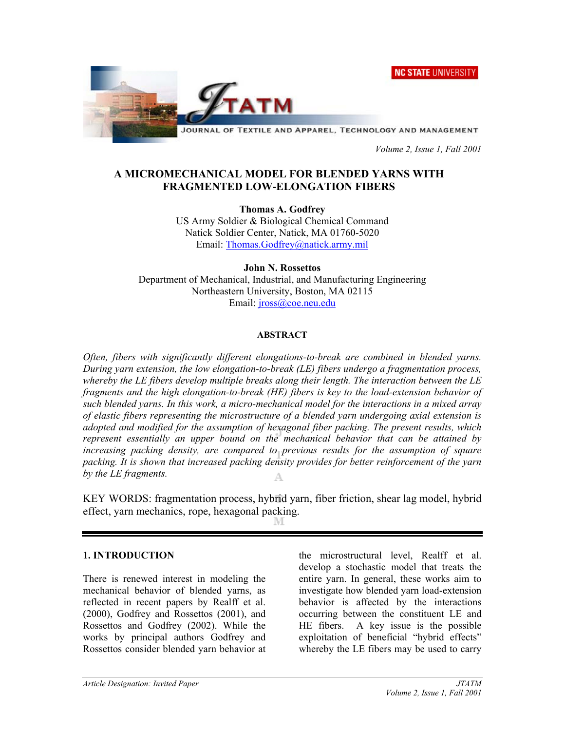**NC STATE UNIVERSITY** 



JOURNAL OF TEXTILE AND APPAREL, TECHNOLOGY AND MANAGEMENT

 *Volume 2, Issue 1, Fall 2001* 

# **A MICROMECHANICAL MODEL FOR BLENDED YARNS WITH FRAGMENTED LOW-ELONGATION FIBERS**

**Thomas A. Godfrey**  US Army Soldier & Biological Chemical Command Natick Soldier Center, Natick, MA 01760-5020 Email: Thomas.Godfrey@natick.army.mil

**John N. Rossettos**  Department of Mechanical, Industrial, and Manufacturing Engineering Northeastern University, Boston, MA 02115 Email: *jross@coe.neu.edu* 

## **ABSTRACT**

*Often, fibers with significantly different elongations-to-break are combined in blended yarns. During yarn extension, the low elongation-to-break (LE) fibers undergo a fragmentation process, whereby the LE fibers develop multiple breaks along their length. The interaction between the LE fragments and the high elongation-to-break (HE) fibers is key to the load-extension behavior of such blended yarns. In this work, a micro-mechanical model for the interactions in a mixed array of elastic fibers representing the microstructure of a blended yarn undergoing axial extension is adopted and modified for the assumption of hexagonal fiber packing. The present results, which represent essentially an upper bound on the mechanical behavior that can be attained by*  increasing packing density, are compared to previous results for the assumption of square *packing. It is shown that increased packing density provides for better reinforcement of the yarn by the LE fragments.* 

KEY WORDS: fragmentation process, hybrid yarn, fiber friction, shear lag model, hybrid effect, yarn mechanics, rope, hexagonal packing.

#### **1. INTRODUCTION**

There is renewed interest in modeling the mechanical behavior of blended yarns, as reflected in recent papers by Realff et al. (2000), Godfrey and Rossettos (2001), and Rossettos and Godfrey (2002). While the works by principal authors Godfrey and Rossettos consider blended yarn behavior at

the microstructural level, Realff et al. develop a stochastic model that treats the entire yarn. In general, these works aim to investigate how blended yarn load-extension behavior is affected by the interactions occurring between the constituent LE and HE fibers. A key issue is the possible exploitation of beneficial "hybrid effects" whereby the LE fibers may be used to carry

*Article Designation: Invited Paper JTATM*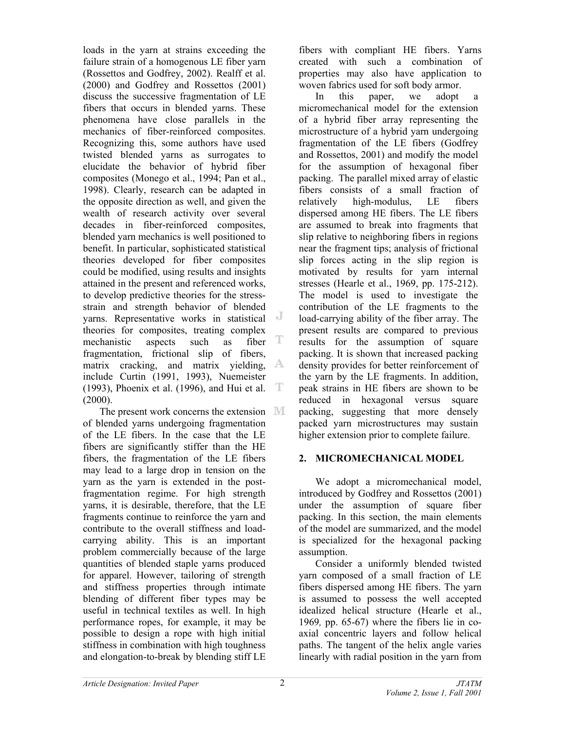loads in the yarn at strains exceeding the failure strain of a homogenous LE fiber yarn (Rossettos and Godfrey, 2002). Realff et al. (2000) and Godfrey and Rossettos (2001) discuss the successive fragmentation of LE fibers that occurs in blended yarns. These phenomena have close parallels in the mechanics of fiber-reinforced composites. Recognizing this, some authors have used twisted blended yarns as surrogates to elucidate the behavior of hybrid fiber composites (Monego et al., 1994; Pan et al., 1998). Clearly, research can be adapted in the opposite direction as well, and given the wealth of research activity over several decades in fiber-reinforced composites, blended yarn mechanics is well positioned to benefit. In particular, sophisticated statistical theories developed for fiber composites could be modified, using results and insights attained in the present and referenced works, to develop predictive theories for the stressstrain and strength behavior of blended yarns. Representative works in statistical theories for composites, treating complex T mechanistic aspects such as fiber fragmentation, frictional slip of fibers, matrix cracking, and matrix yielding, A include Curtin (1991, 1993), Nuemeister (1993), Phoenix et al. (1996), and Hui et al. T (2000).

The present work concerns the extension III of blended yarns undergoing fragmentation of the LE fibers. In the case that the LE fibers are significantly stiffer than the HE fibers, the fragmentation of the LE fibers may lead to a large drop in tension on the yarn as the yarn is extended in the postfragmentation regime. For high strength yarns, it is desirable, therefore, that the LE fragments continue to reinforce the yarn and contribute to the overall stiffness and loadcarrying ability. This is an important problem commercially because of the large quantities of blended staple yarns produced for apparel. However, tailoring of strength and stiffness properties through intimate blending of different fiber types may be useful in technical textiles as well. In high performance ropes, for example, it may be possible to design a rope with high initial stiffness in combination with high toughness and elongation-to-break by blending stiff LE

fibers with compliant HE fibers. Yarns created with such a combination of properties may also have application to woven fabrics used for soft body armor.

In this paper, we adopt a micromechanical model for the extension of a hybrid fiber array representing the microstructure of a hybrid yarn undergoing fragmentation of the LE fibers (Godfrey and Rossettos, 2001) and modify the model for the assumption of hexagonal fiber packing. The parallel mixed array of elastic fibers consists of a small fraction of relatively high-modulus, LE fibers dispersed among HE fibers. The LE fibers are assumed to break into fragments that slip relative to neighboring fibers in regions near the fragment tips; analysis of frictional slip forces acting in the slip region is motivated by results for yarn internal stresses (Hearle et al., 1969, pp. 175-212). The model is used to investigate the contribution of the LE fragments to the load-carrying ability of the fiber array. The present results are compared to previous results for the assumption of square packing. It is shown that increased packing density provides for better reinforcement of the yarn by the LE fragments. In addition, peak strains in HE fibers are shown to be reduced in hexagonal versus square packing, suggesting that more densely packed yarn microstructures may sustain higher extension prior to complete failure.

# **2. MICROMECHANICAL MODEL**

We adopt a micromechanical model, introduced by Godfrey and Rossettos (2001) under the assumption of square fiber packing. In this section, the main elements of the model are summarized, and the model is specialized for the hexagonal packing assumption.

Consider a uniformly blended twisted yarn composed of a small fraction of LE fibers dispersed among HE fibers. The yarn is assumed to possess the well accepted idealized helical structure (Hearle et al., 1969*,* pp. 65-67) where the fibers lie in coaxial concentric layers and follow helical paths. The tangent of the helix angle varies linearly with radial position in the yarn from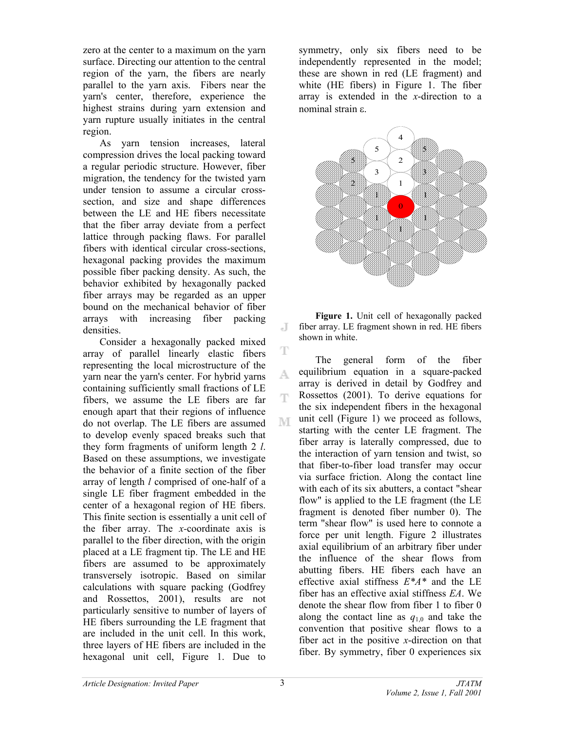zero at the center to a maximum on the yarn surface. Directing our attention to the central region of the yarn, the fibers are nearly parallel to the yarn axis. Fibers near the yarn's center, therefore, experience the highest strains during yarn extension and yarn rupture usually initiates in the central region.

As yarn tension increases, lateral compression drives the local packing toward a regular periodic structure. However, fiber migration, the tendency for the twisted yarn under tension to assume a circular crosssection, and size and shape differences between the LE and HE fibers necessitate that the fiber array deviate from a perfect lattice through packing flaws. For parallel fibers with identical circular cross-sections, hexagonal packing provides the maximum possible fiber packing density. As such, the behavior exhibited by hexagonally packed fiber arrays may be regarded as an upper bound on the mechanical behavior of fiber arrays with increasing fiber packing densities.

Consider a hexagonally packed mixed array of parallel linearly elastic fibers representing the local microstructure of the yarn near the yarn's center. For hybrid yarns containing sufficiently small fractions of LE fibers, we assume the LE fibers are far enough apart that their regions of influence do not overlap. The LE fibers are assumed to develop evenly spaced breaks such that they form fragments of uniform length 2 *l*. Based on these assumptions, we investigate the behavior of a finite section of the fiber array of length *l* comprised of one-half of a single LE fiber fragment embedded in the center of a hexagonal region of HE fibers. This finite section is essentially a unit cell of the fiber array. The *x-*coordinate axis is parallel to the fiber direction, with the origin placed at a LE fragment tip. The LE and HE fibers are assumed to be approximately transversely isotropic. Based on similar calculations with square packing (Godfrey and Rossettos, 2001), results are not particularly sensitive to number of layers of HE fibers surrounding the LE fragment that are included in the unit cell. In this work, three layers of HE fibers are included in the hexagonal unit cell, Figure 1. Due to

symmetry, only six fibers need to be independently represented in the model; these are shown in red (LE fragment) and white (HE fibers) in Figure 1. The fiber array is extended in the *x*-direction to a nominal strain ε.



**Figure 1.** Unit cell of hexagonally packed fiber array. LE fragment shown in red. HE fibers shown in white.

The general form of the fiber equilibrium equation in a square-packed array is derived in detail by Godfrey and Rossettos (2001). To derive equations for the six independent fibers in the hexagonal unit cell (Figure 1) we proceed as follows, starting with the center LE fragment. The fiber array is laterally compressed, due to the interaction of yarn tension and twist, so that fiber-to-fiber load transfer may occur via surface friction. Along the contact line with each of its six abutters, a contact "shear flow" is applied to the LE fragment (the LE fragment is denoted fiber number 0). The term "shear flow" is used here to connote a force per unit length. Figure 2 illustrates axial equilibrium of an arbitrary fiber under the influence of the shear flows from abutting fibers. HE fibers each have an effective axial stiffness *E\*A\** and the LE fiber has an effective axial stiffness *EA*. We denote the shear flow from fiber 1 to fiber 0 along the contact line as  $q_{1,0}$  and take the convention that positive shear flows to a fiber act in the positive *x*-direction on that fiber. By symmetry, fiber 0 experiences six

J.

T

A.

Ŧ

M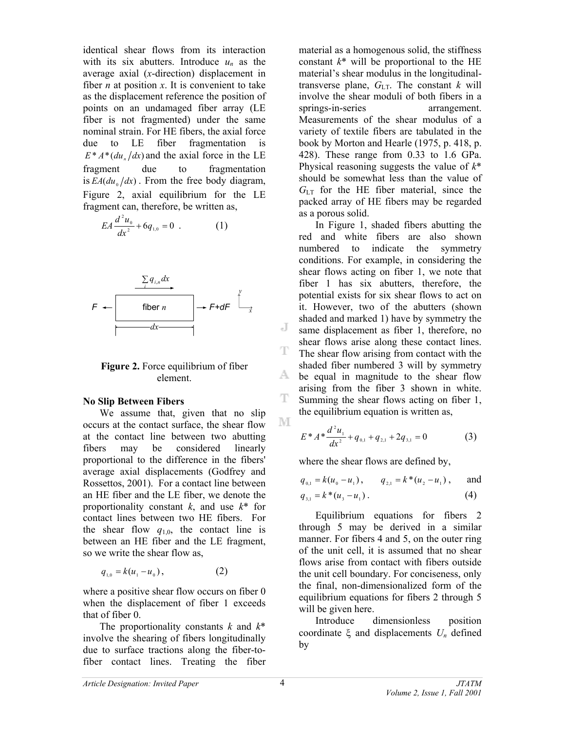identical shear flows from its interaction with its six abutters. Introduce  $u_n$  as the average axial (*x*-direction) displacement in fiber  $n$  at position  $x$ . It is convenient to take as the displacement reference the position of points on an undamaged fiber array (LE fiber is not fragmented) under the same nominal strain. For HE fibers, the axial force due to LE fiber fragmentation is  $E^* A^* (du)$  *dx*) and the axial force in the LE fragment due to fragmentation is  $EA( du_{0}/dx)$ . From the free body diagram, Figure 2, axial equilibrium for the LE fragment can, therefore, be written as,

$$
EA\frac{d^2u_0}{dx^2} + 6q_{1,0} = 0
$$
 (1)



**Figure 2.** Force equilibrium of fiber element.

#### **No Slip Between Fibers**

We assume that, given that no slip occurs at the contact surface, the shear flow at the contact line between two abutting fibers may be considered linearly proportional to the difference in the fibers' average axial displacements (Godfrey and Rossettos, 2001). For a contact line between an HE fiber and the LE fiber, we denote the proportionality constant *k*, and use *k*\* for contact lines between two HE fibers. For the shear flow  $q_{1,0}$ , the contact line is between an HE fiber and the LE fragment, so we write the shear flow as,

$$
q_{1,0} = k(u_1 - u_0), \qquad (2)
$$

where a positive shear flow occurs on fiber 0 when the displacement of fiber 1 exceeds that of fiber 0.

The proportionality constants *k* and *k*\* involve the shearing of fibers longitudinally due to surface tractions along the fiber-tofiber contact lines. Treating the fiber

material as a homogenous solid, the stiffness constant  $k^*$  will be proportional to the HE material's shear modulus in the longitudinaltransverse plane,  $G_{LT}$ . The constant *k* will involve the shear moduli of both fibers in a springs-in-series arrangement. Measurements of the shear modulus of a variety of textile fibers are tabulated in the book by Morton and Hearle (1975, p. 418, p. 428). These range from 0.33 to 1.6 GPa. Physical reasoning suggests the value of *k*\* should be somewhat less than the value of  $G_{LT}$  for the HE fiber material, since the packed array of HE fibers may be regarded as a porous solid.

In Figure 1, shaded fibers abutting the red and white fibers are also shown numbered to indicate the symmetry conditions. For example, in considering the shear flows acting on fiber 1, we note that fiber 1 has six abutters, therefore, the potential exists for six shear flows to act on it. However, two of the abutters (shown shaded and marked 1) have by symmetry the same displacement as fiber 1, therefore, no shear flows arise along these contact lines. The shear flow arising from contact with the shaded fiber numbered 3 will by symmetry A. be equal in magnitude to the shear flow arising from the fiber 3 shown in white. Summing the shear flows acting on fiber 1, the equilibrium equation is written as,

$$
E^* A^* \frac{d^2 u_1}{dx^2} + q_{0,1} + q_{2,1} + 2q_{3,1} = 0
$$
 (3)

where the shear flows are defined by,

$$
q_{0,1} = k(u_0 - u_1),
$$
  $q_{2,1} = k * (u_2 - u_1),$  and  
\n $q_{3,1} = k * (u_3 - u_1).$  (4)

Equilibrium equations for fibers 2 through 5 may be derived in a similar manner. For fibers 4 and 5, on the outer ring of the unit cell, it is assumed that no shear flows arise from contact with fibers outside the unit cell boundary. For conciseness, only the final, non-dimensionalized form of the equilibrium equations for fibers 2 through 5 will be given here.

Introduce dimensionless position coordinate ξ and displacements *Un* defined by

J.

T

ΤР.

M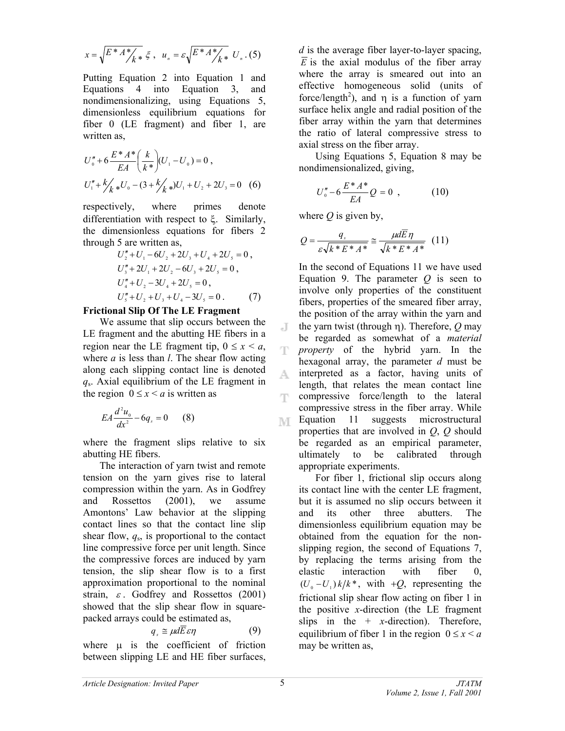$$
x = \sqrt{E^* A^* / k*} \xi
$$
,  $u_n = \varepsilon \sqrt{E^* A^* / k*} U_n$ . (5)

Putting Equation 2 into Equation 1 and Equations 4 into Equation 3, and nondimensionalizing, using Equations 5, dimensionless equilibrium equations for fiber 0 (LE fragment) and fiber 1, are written as,

$$
U''_0 + 6 \frac{E^* A^*}{EA} \left(\frac{k}{k^*}\right) (U_1 - U_0) = 0,
$$
  

$$
U''_1 + \frac{k}{k^*} U_0 - (3 + \frac{k}{k^*}) U_1 + U_2 + 2U_3 = 0
$$
 (6)

respectively, where primes denote differentiation with respect to ξ. Similarly, the dimensionless equations for fibers 2 through 5 are written as,

$$
U''_2 + U_1 - 6U_2 + 2U_3 + U_4 + 2U_5 = 0,
$$
  
\n
$$
U''_3 + 2U_1 + 2U_2 - 6U_3 + 2U_5 = 0,
$$
  
\n
$$
U''_4 + U_2 - 3U_4 + 2U_5 = 0,
$$
  
\n
$$
U''_5 + U_2 + U_3 + U_4 - 3U_5 = 0.
$$
 (7)

#### **Frictional Slip Of The LE Fragment**

We assume that slip occurs between the LE fragment and the abutting HE fibers in a region near the LE fragment tip,  $0 \le x \le a$ , where *a* is less than *l*. The shear flow acting along each slipping contact line is denoted *q*s. Axial equilibrium of the LE fragment in the region  $0 \le x \le a$  is written as

$$
EA\frac{d^2 u_0}{dx^2} - 6q_s = 0 \qquad (8)
$$

where the fragment slips relative to six abutting HE fibers.

The interaction of yarn twist and remote tension on the yarn gives rise to lateral compression within the yarn. As in Godfrey and Rossettos (2001), we assume Amontons' Law behavior at the slipping contact lines so that the contact line slip shear flow,  $q_s$ , is proportional to the contact line compressive force per unit length. Since the compressive forces are induced by yarn tension, the slip shear flow is to a first approximation proportional to the nominal strain,  $\varepsilon$ . Godfrey and Rossettos (2001) showed that the slip shear flow in squarepacked arrays could be estimated as,

$$
q_s \cong \mu d\overline{E} \varepsilon \eta \tag{9}
$$

where  $\mu$  is the coefficient of friction between slipping LE and HE fiber surfaces,

*d* is the average fiber layer-to-layer spacing,  $\overline{E}$  is the axial modulus of the fiber array where the array is smeared out into an effective homogeneous solid (units of force/length<sup>2</sup>), and  $\eta$  is a function of yarn surface helix angle and radial position of the fiber array within the yarn that determines the ratio of lateral compressive stress to axial stress on the fiber array.

Using Equations 5, Equation 8 may be nondimensionalized, giving,

$$
U''_0 - 6 \frac{E^* A^*}{E A} Q = 0 \t , \t (10)
$$

where  $\hat{O}$  is given by,

$$
Q = \frac{q_s}{\varepsilon \sqrt{k^* E^* A^*}} \approx \frac{\mu d\overline{E}\eta}{\sqrt{k^* E^* A^*}} \quad (11)
$$

In the second of Equations 11 we have used Equation 9. The parameter  $Q$  is seen to involve only properties of the constituent fibers, properties of the smeared fiber array, the position of the array within the yarn and J. the yarn twist (through η). Therefore, *Q* may be regarded as somewhat of a *material property* of the hybrid yarn. In the hexagonal array, the parameter *d* must be interpreted as a factor, having units of A. length, that relates the mean contact line compressive force/length to the lateral compressive stress in the fiber array. While Equation 11 suggests microstructural TVE. properties that are involved in *Q*, *Q* should be regarded as an empirical parameter, ultimately to be calibrated through appropriate experiments.

For fiber 1, frictional slip occurs along its contact line with the center LE fragment, but it is assumed no slip occurs between it and its other three abutters. The dimensionless equilibrium equation may be obtained from the equation for the nonslipping region, the second of Equations 7, by replacing the terms arising from the elastic interaction with fiber 0,  $(U_0 - U_1) k / k^*$ , with  $+Q$ , representing the frictional slip shear flow acting on fiber 1 in the positive *x*-direction (the LE fragment slips in the  $+$  *x*-direction). Therefore, equilibrium of fiber 1 in the region  $0 \le x \le a$ may be written as,

Щ.

Т.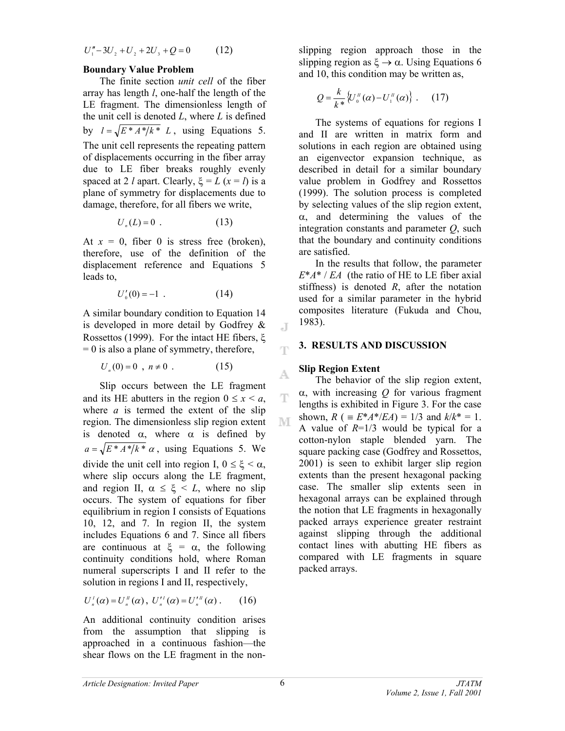$$
U''_1 - 3U_2 + U_2 + 2U_3 + Q = 0 \tag{12}
$$

#### **Boundary Value Problem**

The finite section *unit cell* of the fiber array has length *l*, one-half the length of the LE fragment. The dimensionless length of the unit cell is denoted *L*, where *L* is defined by  $l = \sqrt{E^* A^* / k^*} L$ , using Equations 5. The unit cell represents the repeating pattern of displacements occurring in the fiber array due to LE fiber breaks roughly evenly spaced at 2 *l* apart. Clearly,  $\xi = L (x = l)$  is a plane of symmetry for displacements due to damage, therefore, for all fibers we write,

$$
U_n(L) = 0 \tag{13}
$$

At  $x = 0$ , fiber 0 is stress free (broken), therefore, use of the definition of the displacement reference and Equations 5 leads to,

$$
U'_{0}(0) = -1 \t\t(14)
$$

A similar boundary condition to Equation 14 is developed in more detail by Godfrey & Rossettos (1999). For the intact HE fibers, ξ  $= 0$  is also a plane of symmetry, therefore,

 $U_{n}(0) = 0$ ,  $n \neq 0$ . (15)

Slip occurs between the LE fragment and its HE abutters in the region  $0 \le x \le a$ , where *a* is termed the extent of the slip region. The dimensionless slip region extent is denoted  $\alpha$ , where  $\alpha$  is defined by  $a = \sqrt{E^* A^* / k^*} \alpha$ , using Equations 5. We divide the unit cell into region I,  $0 \le \xi \le \alpha$ , where slip occurs along the LE fragment, and region II,  $\alpha \leq \xi \leq L$ , where no slip occurs. The system of equations for fiber equilibrium in region I consists of Equations 10, 12, and 7. In region II, the system includes Equations 6 and 7. Since all fibers are continuous at  $\xi = \alpha$ , the following continuity conditions hold, where Roman numeral superscripts I and II refer to the solution in regions I and II, respectively,

$$
U_n^{\prime}(\alpha) = U_n^{\prime\prime}(\alpha), \ U_n^{\prime\prime}(\alpha) = U_n^{\prime\prime\prime}(\alpha). \qquad (16)
$$

An additional continuity condition arises from the assumption that slipping is approached in a continuous fashion—the shear flows on the LE fragment in the nonslipping region approach those in the slipping region as  $\xi \to \alpha$ . Using Equations 6 and 10, this condition may be written as,

$$
Q = \frac{k}{k^*} \left\{ U_0^u(\alpha) - U_1^u(\alpha) \right\} . \qquad (17)
$$

The systems of equations for regions I and II are written in matrix form and solutions in each region are obtained using an eigenvector expansion technique, as described in detail for a similar boundary value problem in Godfrey and Rossettos (1999). The solution process is completed by selecting values of the slip region extent, α, and determining the values of the integration constants and parameter *Q*, such that the boundary and continuity conditions are satisfied.

In the results that follow, the parameter *E*\**A*\* / *EA* (the ratio of HE to LE fiber axial stiffness) is denoted *R*, after the notation used for a similar parameter in the hybrid composites literature (Fukuda and Chou, 1983).

#### **3. RESULTS AND DISCUSSION**

#### **Slip Region Extent**

J.

T

A

T

M

The behavior of the slip region extent, α, with increasing *Q* for various fragment lengths is exhibited in Figure 3. For the case shown,  $R$  (  $\equiv E^*A^*/EA$ ) = 1/3 and  $k/k^* = 1$ . A value of  $R=1/3$  would be typical for a cotton-nylon staple blended yarn. The square packing case (Godfrey and Rossettos, 2001) is seen to exhibit larger slip region extents than the present hexagonal packing case. The smaller slip extents seen in hexagonal arrays can be explained through the notion that LE fragments in hexagonally packed arrays experience greater restraint against slipping through the additional contact lines with abutting HE fibers as compared with LE fragments in square packed arrays.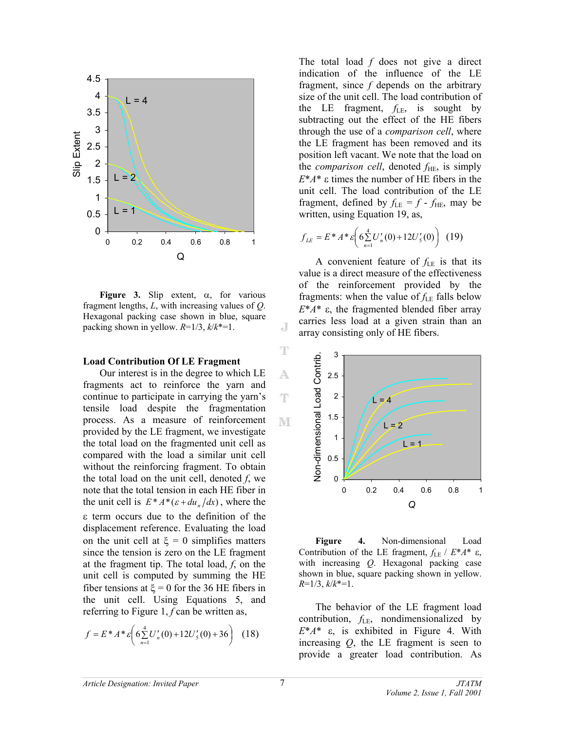

**Figure 3.** Slip extent, α, for various fragment lengths, *L*, with increasing values of *Q*. Hexagonal packing case shown in blue, square packing shown in yellow. *R*=1/3, *k*/*k*\*=1.

#### **Load Contribution Of LE Fragment**

Our interest is in the degree to which LE fragments act to reinforce the yarn and continue to participate in carrying the yarn's tensile load despite the fragmentation process. As a measure of reinforcement provided by the LE fragment, we investigate the total load on the fragmented unit cell as compared with the load a similar unit cell without the reinforcing fragment. To obtain the total load on the unit cell, denoted *f*, we note that the total tension in each HE fiber in the unit cell is  $E^* A^* (\varepsilon + du_n/dx)$ , where the ε term occurs due to the definition of the displacement reference. Evaluating the load on the unit cell at  $\xi = 0$  simplifies matters since the tension is zero on the LE fragment at the fragment tip. The total load, *f*, on the unit cell is computed by summing the HE fiber tensions at  $\xi = 0$  for the 36 HE fibers in the unit cell. Using Equations 5, and referring to Figure 1, *f* can be written as,

$$
f = E^* A^* \varepsilon \bigg( 6 \sum_{n=1}^4 U'_n(0) + 12 U'_5(0) + 36 \bigg) \tag{18}
$$

The total load *f* does not give a direct indication of the influence of the LE fragment, since *f* depends on the arbitrary size of the unit cell. The load contribution of the LE fragment, *f*LE, is sought by subtracting out the effect of the HE fibers through the use of a *comparison cell*, where the LE fragment has been removed and its position left vacant. We note that the load on the *comparison cell*, denoted  $f_{\text{HE}}$ , is simply *E*\**A*\* ε times the number of HE fibers in the unit cell. The load contribution of the LE fragment, defined by  $f_{LE} = f - f_{HE}$ , may be written, using Equation 19, as,

$$
f_{LE} = E^* A^* \varepsilon \bigg( 6 \sum_{n=1}^4 U'_n(0) + 12 U'_5(0) \bigg) \tag{19}
$$

A convenient feature of *f*LE is that its value is a direct measure of the effectiveness of the reinforcement provided by the fragments: when the value of  $f_{LE}$  falls below *E*\**A*\* ε, the fragmented blended fiber array carries less load at a given strain than an array consisting only of HE fibers.



**Figure 4.** Non-dimensional Load Contribution of the LE fragment, *f*LE / *E*\**A*\* ε, with increasing *Q*. Hexagonal packing case shown in blue, square packing shown in yellow. *R*=1/3, *k*/*k*\*=1.

The behavior of the LE fragment load contribution, *f*LE, nondimensionalized by *E*\**A*\* ε, is exhibited in Figure 4. With increasing *Q*, the LE fragment is seen to provide a greater load contribution. As

J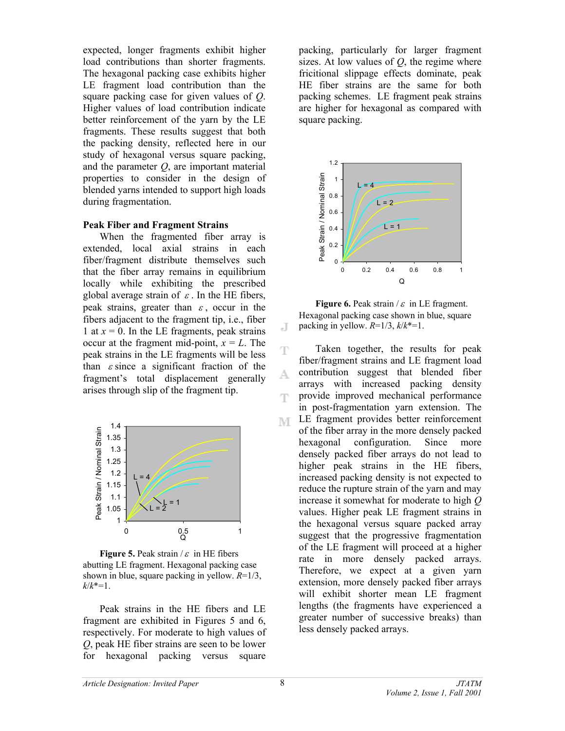expected, longer fragments exhibit higher load contributions than shorter fragments. The hexagonal packing case exhibits higher LE fragment load contribution than the square packing case for given values of *Q*. Higher values of load contribution indicate better reinforcement of the yarn by the LE fragments. These results suggest that both the packing density, reflected here in our study of hexagonal versus square packing, and the parameter *Q*, are important material properties to consider in the design of blended yarns intended to support high loads during fragmentation.

## **Peak Fiber and Fragment Strains**

When the fragmented fiber array is extended, local axial strains in each fiber/fragment distribute themselves such that the fiber array remains in equilibrium locally while exhibiting the prescribed global average strain of  $\varepsilon$ . In the HE fibers, peak strains, greater than  $\varepsilon$ , occur in the fibers adjacent to the fragment tip, i.e., fiber 1 at  $x = 0$ . In the LE fragments, peak strains occur at the fragment mid-point,  $x = L$ . The peak strains in the LE fragments will be less than  $\varepsilon$  since a significant fraction of the fragment's total displacement generally arises through slip of the fragment tip.



**Figure 5.** Peak strain  $\ell \varepsilon$  in HE fibers abutting LE fragment. Hexagonal packing case shown in blue, square packing in yellow. *R*=1/3, *k*/*k*\*=1.

Peak strains in the HE fibers and LE fragment are exhibited in Figures 5 and 6, respectively. For moderate to high values of *Q*, peak HE fiber strains are seen to be lower for hexagonal packing versus square

packing, particularly for larger fragment sizes. At low values of *Q*, the regime where fricitional slippage effects dominate, peak HE fiber strains are the same for both packing schemes. LE fragment peak strains are higher for hexagonal as compared with square packing.



**Figure 6.** Peak strain /  $\varepsilon$  in LE fragment. Hexagonal packing case shown in blue, square packing in yellow.  $R=1/3$ ,  $k/k^*=1$ .

Ŧ Taken together, the results for peak fiber/fragment strains and LE fragment load contribution suggest that blended fiber A. arrays with increased packing density provide improved mechanical performance T in post-fragmentation yarn extension. The LE fragment provides better reinforcement M. of the fiber array in the more densely packed hexagonal configuration. Since more densely packed fiber arrays do not lead to higher peak strains in the HE fibers, increased packing density is not expected to reduce the rupture strain of the yarn and may increase it somewhat for moderate to high *Q* values. Higher peak LE fragment strains in the hexagonal versus square packed array suggest that the progressive fragmentation of the LE fragment will proceed at a higher rate in more densely packed arrays. Therefore, we expect at a given yarn extension, more densely packed fiber arrays will exhibit shorter mean LE fragment lengths (the fragments have experienced a greater number of successive breaks) than less densely packed arrays.

J